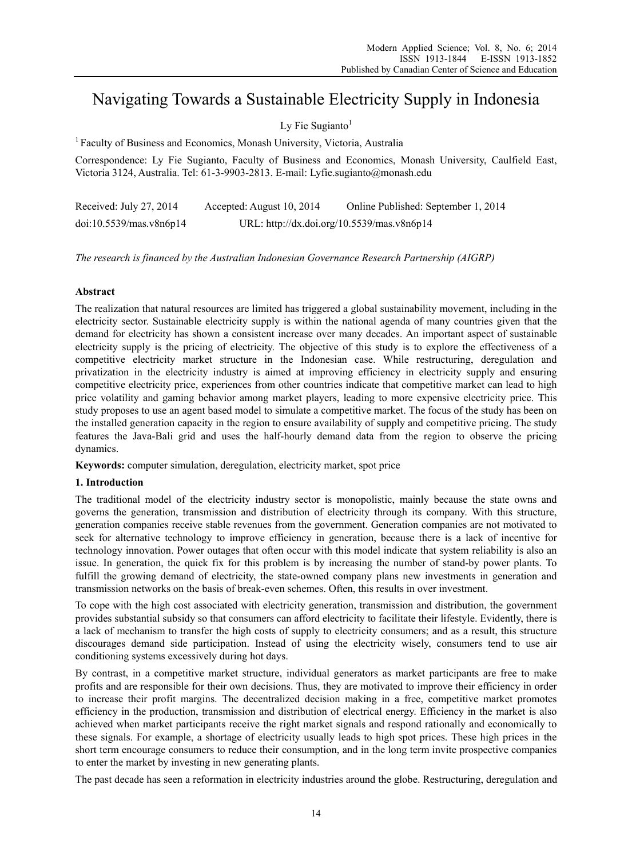# Navigating Towards a Sustainable Electricity Supply in Indonesia

Ly Fie Sugianto $<sup>1</sup>$ </sup>

<sup>1</sup> Faculty of Business and Economics, Monash University, Victoria, Australia

Correspondence: Ly Fie Sugianto, Faculty of Business and Economics, Monash University, Caulfield East, Victoria 3124, Australia. Tel: 61-3-9903-2813. E-mail: Lyfie.sugianto@monash.edu

| Received: July 27, 2014 | Accepted: August 10, 2014 | Online Published: September 1, 2014        |
|-------------------------|---------------------------|--------------------------------------------|
| doi:10.5539/mas.v8n6p14 |                           | URL: http://dx.doi.org/10.5539/mas.v8n6p14 |

*The research is financed by the Australian Indonesian Governance Research Partnership (AIGRP)*

# **Abstract**

The realization that natural resources are limited has triggered a global sustainability movement, including in the electricity sector. Sustainable electricity supply is within the national agenda of many countries given that the demand for electricity has shown a consistent increase over many decades. An important aspect of sustainable electricity supply is the pricing of electricity. The objective of this study is to explore the effectiveness of a competitive electricity market structure in the Indonesian case. While restructuring, deregulation and privatization in the electricity industry is aimed at improving efficiency in electricity supply and ensuring competitive electricity price, experiences from other countries indicate that competitive market can lead to high price volatility and gaming behavior among market players, leading to more expensive electricity price. This study proposes to use an agent based model to simulate a competitive market. The focus of the study has been on the installed generation capacity in the region to ensure availability of supply and competitive pricing. The study features the Java-Bali grid and uses the half-hourly demand data from the region to observe the pricing dynamics.

**Keywords:** computer simulation, deregulation, electricity market, spot price

### **1. Introduction**

The traditional model of the electricity industry sector is monopolistic, mainly because the state owns and governs the generation, transmission and distribution of electricity through its company. With this structure, generation companies receive stable revenues from the government. Generation companies are not motivated to seek for alternative technology to improve efficiency in generation, because there is a lack of incentive for technology innovation. Power outages that often occur with this model indicate that system reliability is also an issue. In generation, the quick fix for this problem is by increasing the number of stand-by power plants. To fulfill the growing demand of electricity, the state-owned company plans new investments in generation and transmission networks on the basis of break-even schemes. Often, this results in over investment.

To cope with the high cost associated with electricity generation, transmission and distribution, the government provides substantial subsidy so that consumers can afford electricity to facilitate their lifestyle. Evidently, there is a lack of mechanism to transfer the high costs of supply to electricity consumers; and as a result, this structure discourages demand side participation. Instead of using the electricity wisely, consumers tend to use air conditioning systems excessively during hot days.

By contrast, in a competitive market structure, individual generators as market participants are free to make profits and are responsible for their own decisions. Thus, they are motivated to improve their efficiency in order to increase their profit margins. The decentralized decision making in a free, competitive market promotes efficiency in the production, transmission and distribution of electrical energy. Efficiency in the market is also achieved when market participants receive the right market signals and respond rationally and economically to these signals. For example, a shortage of electricity usually leads to high spot prices. These high prices in the short term encourage consumers to reduce their consumption, and in the long term invite prospective companies to enter the market by investing in new generating plants.

The past decade has seen a reformation in electricity industries around the globe. Restructuring, deregulation and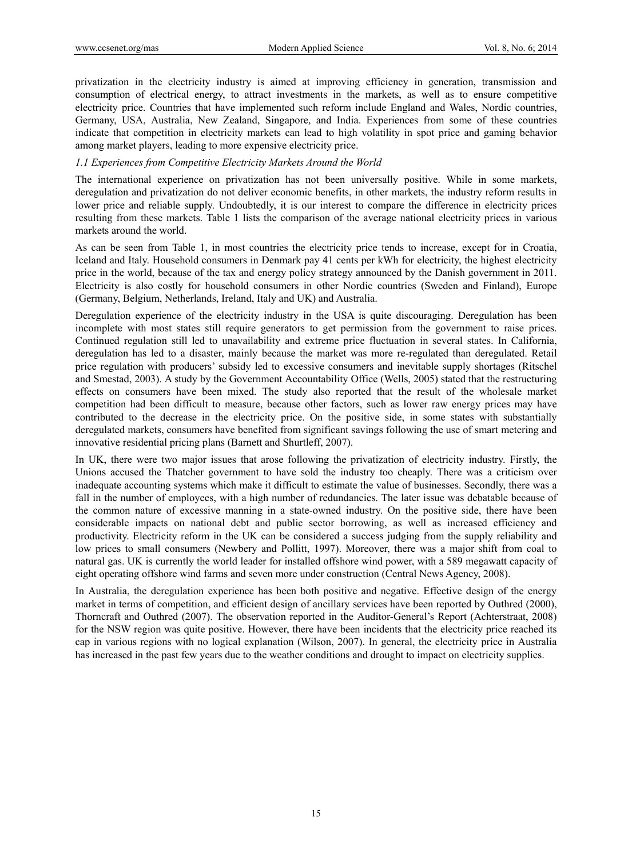privatization in the electricity industry is aimed at improving efficiency in generation, transmission and consumption of electrical energy, to attract investments in the markets, as well as to ensure competitive electricity price. Countries that have implemented such reform include England and Wales, Nordic countries, Germany, USA, Australia, New Zealand, Singapore, and India. Experiences from some of these countries indicate that competition in electricity markets can lead to high volatility in spot price and gaming behavior among market players, leading to more expensive electricity price.

# *1.1 Experiences from Competitive Electricity Markets Around the World*

The international experience on privatization has not been universally positive. While in some markets, deregulation and privatization do not deliver economic benefits, in other markets, the industry reform results in lower price and reliable supply. Undoubtedly, it is our interest to compare the difference in electricity prices resulting from these markets. Table 1 lists the comparison of the average national electricity prices in various markets around the world.

As can be seen from Table 1, in most countries the electricity price tends to increase, except for in Croatia, Iceland and Italy. Household consumers in Denmark pay 41 cents per kWh for electricity, the highest electricity price in the world, because of the tax and energy policy strategy announced by the Danish government in 2011. Electricity is also costly for household consumers in other Nordic countries (Sweden and Finland), Europe (Germany, Belgium, Netherlands, Ireland, Italy and UK) and Australia.

Deregulation experience of the electricity industry in the USA is quite discouraging. Deregulation has been incomplete with most states still require generators to get permission from the government to raise prices. Continued regulation still led to unavailability and extreme price fluctuation in several states. In California, deregulation has led to a disaster, mainly because the market was more re-regulated than deregulated. Retail price regulation with producers' subsidy led to excessive consumers and inevitable supply shortages (Ritschel and Smestad, 2003). A study by the Government Accountability Office (Wells, 2005) stated that the restructuring effects on consumers have been mixed. The study also reported that the result of the wholesale market competition had been difficult to measure, because other factors, such as lower raw energy prices may have contributed to the decrease in the electricity price. On the positive side, in some states with substantially deregulated markets, consumers have benefited from significant savings following the use of smart metering and innovative residential pricing plans (Barnett and Shurtleff, 2007).

In UK, there were two major issues that arose following the privatization of electricity industry. Firstly, the Unions accused the Thatcher government to have sold the industry too cheaply. There was a criticism over inadequate accounting systems which make it difficult to estimate the value of businesses. Secondly, there was a fall in the number of employees, with a high number of redundancies. The later issue was debatable because of the common nature of excessive manning in a state-owned industry. On the positive side, there have been considerable impacts on national debt and public sector borrowing, as well as increased efficiency and productivity. Electricity reform in the UK can be considered a success judging from the supply reliability and low prices to small consumers (Newbery and Pollitt, 1997). Moreover, there was a major shift from coal to natural gas. UK is currently the world leader for installed offshore wind power, with a 589 megawatt capacity of eight operating offshore wind farms and seven more under construction (Central News Agency, 2008).

In Australia, the deregulation experience has been both positive and negative. Effective design of the energy market in terms of competition, and efficient design of ancillary services have been reported by Outhred (2000), Thorncraft and Outhred (2007). The observation reported in the Auditor-General's Report (Achterstraat, 2008) for the NSW region was quite positive. However, there have been incidents that the electricity price reached its cap in various regions with no logical explanation (Wilson, 2007). In general, the electricity price in Australia has increased in the past few years due to the weather conditions and drought to impact on electricity supplies.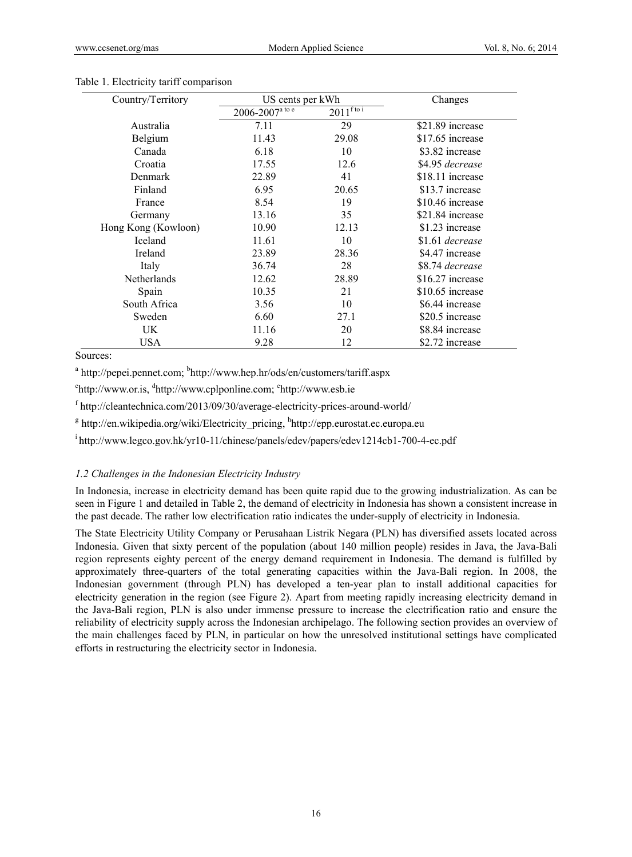| Country/Territory   | US cents per kWh              |                      | Changes          |
|---------------------|-------------------------------|----------------------|------------------|
|                     | $2006 - 2007^{\text{a to e}}$ | $2011^{\text{ftoi}}$ |                  |
| Australia           | 7.11                          | 29                   | \$21.89 increase |
| Belgium             | 11.43                         | 29.08                | \$17.65 increase |
| Canada              | 6.18                          | 10                   | \$3.82 increase  |
| Croatia             | 17.55                         | 12.6                 | \$4.95 decrease  |
| Denmark             | 22.89                         | 41                   | \$18.11 increase |
| Finland             | 6.95                          | 20.65                | \$13.7 increase  |
| France              | 8.54                          | 19                   | \$10.46 increase |
| Germany             | 13.16                         | 35                   | \$21.84 increase |
| Hong Kong (Kowloon) | 10.90                         | 12.13                | \$1.23 increase  |
| <b>Iceland</b>      | 11.61                         | 10                   | \$1.61 decrease  |
| Ireland             | 23.89                         | 28.36                | \$4.47 increase  |
| Italy               | 36.74                         | 28                   | \$8.74 decrease  |
| Netherlands         | 12.62                         | 28.89                | \$16.27 increase |
| Spain               | 10.35                         | 21                   | \$10.65 increase |
| South Africa        | 3.56                          | 10                   | \$6.44 increase  |
| Sweden              | 6.60                          | 27.1                 | \$20.5 increase  |
| UK                  | 11.16                         | 20                   | \$8.84 increase  |
| <b>USA</b>          | 9.28                          | 12                   | \$2.72 increase  |

## Table 1. Electricity tariff comparison

Sources:

<sup>a</sup> http://pepei.pennet.com; <sup>b</sup>http://www.hep.hr/ods/en/customers/tariff.aspx

<sup>c</sup>http://www.or.is, <sup>d</sup>http://www.cplponline.com; <sup>e</sup>http://www.esb.ie

f http://cleantechnica.com/2013/09/30/average-electricity-prices-around-world/

<sup>g</sup> http://en.wikipedia.org/wiki/Electricity pricing, <sup>h</sup>http://epp.eurostat.ec.europa.eu

i http://www.legco.gov.hk/yr10-11/chinese/panels/edev/papers/edev1214cb1-700-4-ec.pdf

### *1.2 Challenges in the Indonesian Electricity Industry*

In Indonesia, increase in electricity demand has been quite rapid due to the growing industrialization. As can be seen in Figure 1 and detailed in Table 2, the demand of electricity in Indonesia has shown a consistent increase in the past decade. The rather low electrification ratio indicates the under-supply of electricity in Indonesia.

The State Electricity Utility Company or Perusahaan Listrik Negara (PLN) has diversified assets located across Indonesia. Given that sixty percent of the population (about 140 million people) resides in Java, the Java-Bali region represents eighty percent of the energy demand requirement in Indonesia. The demand is fulfilled by approximately three-quarters of the total generating capacities within the Java-Bali region. In 2008, the Indonesian government (through PLN) has developed a ten-year plan to install additional capacities for electricity generation in the region (see Figure 2). Apart from meeting rapidly increasing electricity demand in the Java-Bali region, PLN is also under immense pressure to increase the electrification ratio and ensure the reliability of electricity supply across the Indonesian archipelago. The following section provides an overview of the main challenges faced by PLN, in particular on how the unresolved institutional settings have complicated efforts in restructuring the electricity sector in Indonesia.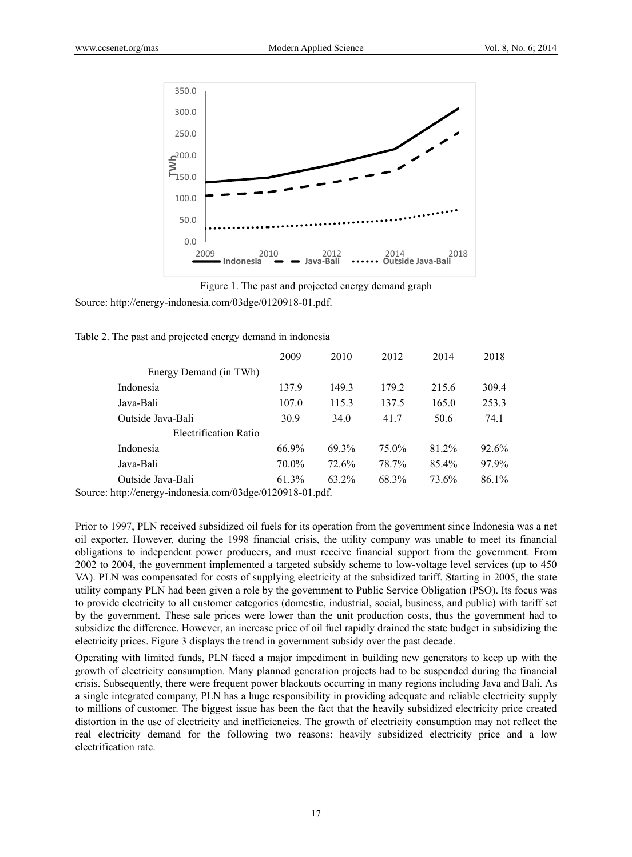



Source: http://energy-indonesia.com/03dge/0120918-01.pdf.

Table 2. The past and projected energy demand in indonesia

|                        | 2009     | 2010  | 2012  | 2014  | 2018  |
|------------------------|----------|-------|-------|-------|-------|
| Energy Demand (in TWh) |          |       |       |       |       |
| Indonesia              | 137.9    | 149.3 | 179.2 | 215.6 | 309.4 |
| Java-Bali              | 107.0    | 115.3 | 137.5 | 165.0 | 253.3 |
| Outside Java-Bali      | 30.9     | 34.0  | 41.7  | 50.6  | 74.1  |
| Electrification Ratio  |          |       |       |       |       |
| Indonesia              | 66.9%    | 69.3% | 75.0% | 81.2% | 92.6% |
| Java-Bali              | $70.0\%$ | 72.6% | 78.7% | 85.4% | 97.9% |
| Outside Java-Bali      | 61.3%    | 63.2% | 68.3% | 73.6% | 86.1% |

Source: http://energy-indonesia.com/03dge/0120918-01.pdf.

Prior to 1997, PLN received subsidized oil fuels for its operation from the government since Indonesia was a net oil exporter. However, during the 1998 financial crisis, the utility company was unable to meet its financial obligations to independent power producers, and must receive financial support from the government. From 2002 to 2004, the government implemented a targeted subsidy scheme to low-voltage level services (up to 450 VA). PLN was compensated for costs of supplying electricity at the subsidized tariff. Starting in 2005, the state utility company PLN had been given a role by the government to Public Service Obligation (PSO). Its focus was to provide electricity to all customer categories (domestic, industrial, social, business, and public) with tariff set by the government. These sale prices were lower than the unit production costs, thus the government had to subsidize the difference. However, an increase price of oil fuel rapidly drained the state budget in subsidizing the electricity prices. Figure 3 displays the trend in government subsidy over the past decade.

Operating with limited funds, PLN faced a major impediment in building new generators to keep up with the growth of electricity consumption. Many planned generation projects had to be suspended during the financial crisis. Subsequently, there were frequent power blackouts occurring in many regions including Java and Bali. As a single integrated company, PLN has a huge responsibility in providing adequate and reliable electricity supply to millions of customer. The biggest issue has been the fact that the heavily subsidized electricity price created distortion in the use of electricity and inefficiencies. The growth of electricity consumption may not reflect the real electricity demand for the following two reasons: heavily subsidized electricity price and a low electrification rate.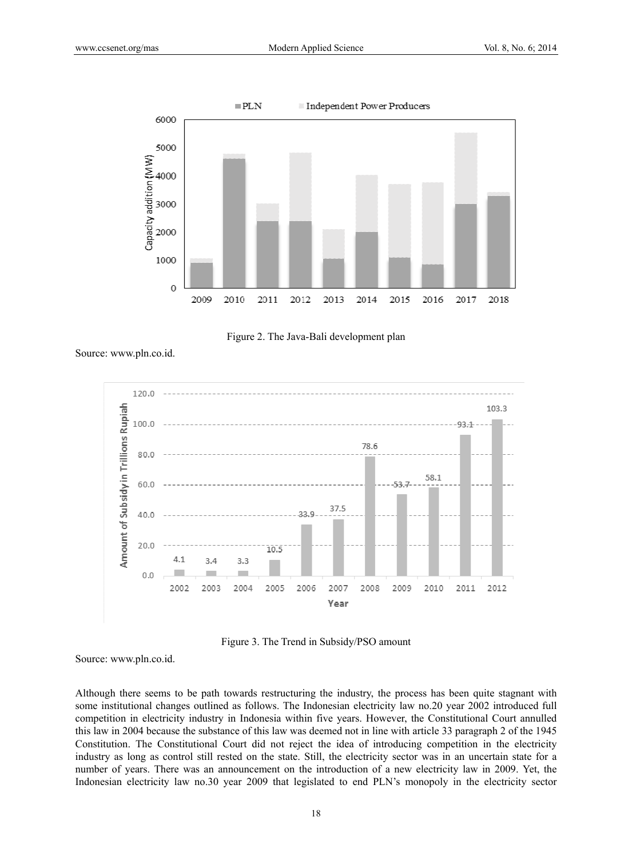



Source: www.pln.co.id.



Figure 3. The Trend in Subsidy/PSO amount

Source: www.pln.co.id.

Although there seems to be path towards restructuring the industry, the process has been quite stagnant with some institutional changes outlined as follows. The Indonesian electricity law no.20 year 2002 introduced full competition in electricity industry in Indonesia within five years. However, the Constitutional Court annulled this law in 2004 because the substance of this law was deemed not in line with article 33 paragraph 2 of the 1945 Constitution. The Constitutional Court did not reject the idea of introducing competition in the electricity industry as long as control still rested on the state. Still, the electricity sector was in an uncertain state for a number of years. There was an announcement on the introduction of a new electricity law in 2009. Yet, the Indonesian electricity law no.30 year 2009 that legislated to end PLN's monopoly in the electricity sector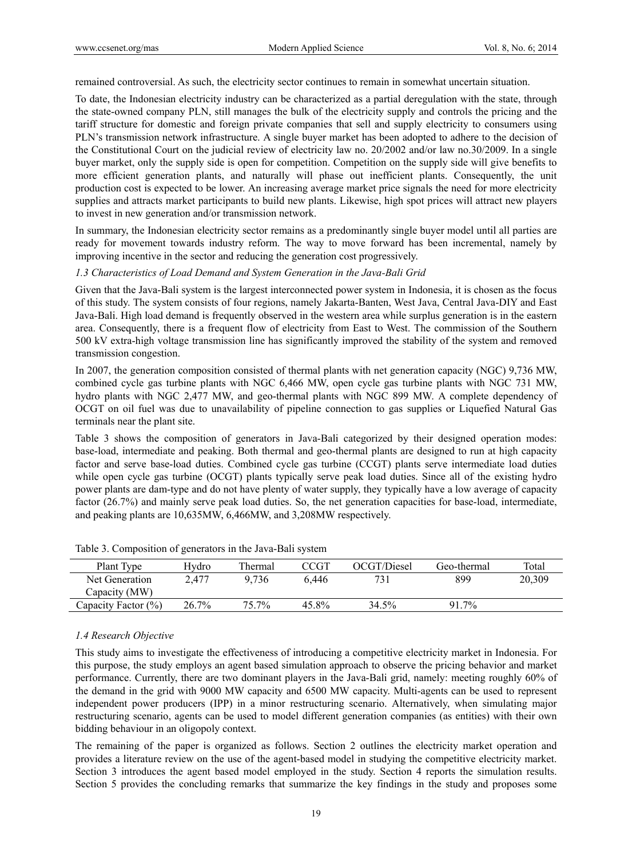remained controversial. As such, the electricity sector continues to remain in somewhat uncertain situation.

To date, the Indonesian electricity industry can be characterized as a partial deregulation with the state, through the state-owned company PLN, still manages the bulk of the electricity supply and controls the pricing and the tariff structure for domestic and foreign private companies that sell and supply electricity to consumers using PLN's transmission network infrastructure. A single buyer market has been adopted to adhere to the decision of the Constitutional Court on the judicial review of electricity law no. 20/2002 and/or law no.30/2009. In a single buyer market, only the supply side is open for competition. Competition on the supply side will give benefits to more efficient generation plants, and naturally will phase out inefficient plants. Consequently, the unit production cost is expected to be lower. An increasing average market price signals the need for more electricity supplies and attracts market participants to build new plants. Likewise, high spot prices will attract new players to invest in new generation and/or transmission network.

In summary, the Indonesian electricity sector remains as a predominantly single buyer model until all parties are ready for movement towards industry reform. The way to move forward has been incremental, namely by improving incentive in the sector and reducing the generation cost progressively.

#### *1.3 Characteristics of Load Demand and System Generation in the Java-Bali Grid*

Given that the Java-Bali system is the largest interconnected power system in Indonesia, it is chosen as the focus of this study. The system consists of four regions, namely Jakarta-Banten, West Java, Central Java-DIY and East Java-Bali. High load demand is frequently observed in the western area while surplus generation is in the eastern area. Consequently, there is a frequent flow of electricity from East to West. The commission of the Southern 500 kV extra-high voltage transmission line has significantly improved the stability of the system and removed transmission congestion.

In 2007, the generation composition consisted of thermal plants with net generation capacity (NGC) 9,736 MW, combined cycle gas turbine plants with NGC 6,466 MW, open cycle gas turbine plants with NGC 731 MW, hydro plants with NGC 2,477 MW, and geo-thermal plants with NGC 899 MW. A complete dependency of OCGT on oil fuel was due to unavailability of pipeline connection to gas supplies or Liquefied Natural Gas terminals near the plant site.

Table 3 shows the composition of generators in Java-Bali categorized by their designed operation modes: base-load, intermediate and peaking. Both thermal and geo-thermal plants are designed to run at high capacity factor and serve base-load duties. Combined cycle gas turbine (CCGT) plants serve intermediate load duties while open cycle gas turbine (OCGT) plants typically serve peak load duties. Since all of the existing hydro power plants are dam-type and do not have plenty of water supply, they typically have a low average of capacity factor (26.7%) and mainly serve peak load duties. So, the net generation capacities for base-load, intermediate, and peaking plants are 10,635MW, 6,466MW, and 3,208MW respectively.

| Plant Type          | Hvdro | Thermal | CCGT  | OCGT/Diesel | Geo-thermal | Total  |
|---------------------|-------|---------|-------|-------------|-------------|--------|
| Net Generation      | 2.477 | 9.736   | 6.446 |             | 899         | 20,309 |
| Capacity (MW)       |       |         |       |             |             |        |
| Capacity Factor (%) | 26.7% | 75.7%   | 45.8% | 34.5%       | 91.7%       |        |
|                     |       |         |       |             |             |        |

Table 3. Composition of generators in the Java-Bali system

#### *1.4 Research Objective*

This study aims to investigate the effectiveness of introducing a competitive electricity market in Indonesia. For this purpose, the study employs an agent based simulation approach to observe the pricing behavior and market performance. Currently, there are two dominant players in the Java-Bali grid, namely: meeting roughly 60% of the demand in the grid with 9000 MW capacity and 6500 MW capacity. Multi-agents can be used to represent independent power producers (IPP) in a minor restructuring scenario. Alternatively, when simulating major restructuring scenario, agents can be used to model different generation companies (as entities) with their own bidding behaviour in an oligopoly context.

The remaining of the paper is organized as follows. Section 2 outlines the electricity market operation and provides a literature review on the use of the agent-based model in studying the competitive electricity market. Section 3 introduces the agent based model employed in the study. Section 4 reports the simulation results. Section 5 provides the concluding remarks that summarize the key findings in the study and proposes some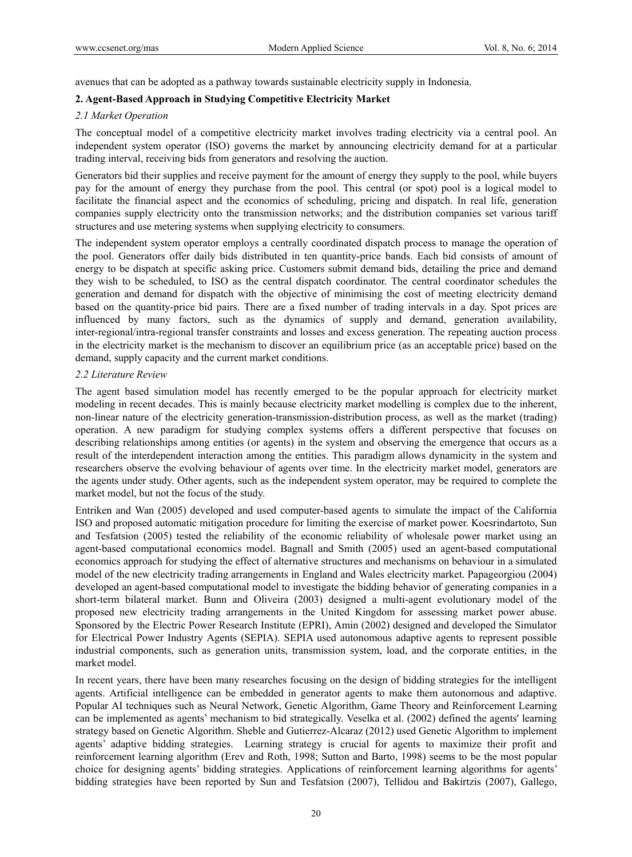avenues that can be adopted as a pathway towards sustainable electricity supply in Indonesia.

## **2. Agent-Based Approach in Studying Competitive Electricity Market**

#### *2.1 Market Operation*

The conceptual model of a competitive electricity market involves trading electricity via a central pool. An independent system operator (ISO) governs the market by announcing electricity demand for at a particular trading interval, receiving bids from generators and resolving the auction.

Generators bid their supplies and receive payment for the amount of energy they supply to the pool, while buyers pay for the amount of energy they purchase from the pool. This central (or spot) pool is a logical model to facilitate the financial aspect and the economics of scheduling, pricing and dispatch. In real life, generation companies supply electricity onto the transmission networks; and the distribution companies set various tariff structures and use metering systems when supplying electricity to consumers.

The independent system operator employs a centrally coordinated dispatch process to manage the operation of the pool. Generators offer daily bids distributed in ten quantity-price bands. Each bid consists of amount of energy to be dispatch at specific asking price. Customers submit demand bids, detailing the price and demand they wish to be scheduled, to ISO as the central dispatch coordinator. The central coordinator schedules the generation and demand for dispatch with the objective of minimising the cost of meeting electricity demand based on the quantity-price bid pairs. There are a fixed number of trading intervals in a day. Spot prices are influenced by many factors, such as the dynamics of supply and demand, generation availability, inter-regional/intra-regional transfer constraints and losses and excess generation. The repeating auction process in the electricity market is the mechanism to discover an equilibrium price (as an acceptable price) based on the demand, supply capacity and the current market conditions.

### *2.2 Literature Review*

The agent based simulation model has recently emerged to be the popular approach for electricity market modeling in recent decades. This is mainly because electricity market modelling is complex due to the inherent, non-linear nature of the electricity generation-transmission-distribution process, as well as the market (trading) operation. A new paradigm for studying complex systems offers a different perspective that focuses on describing relationships among entities (or agents) in the system and observing the emergence that occurs as a result of the interdependent interaction among the entities. This paradigm allows dynamicity in the system and researchers observe the evolving behaviour of agents over time. In the electricity market model, generators are the agents under study. Other agents, such as the independent system operator, may be required to complete the market model, but not the focus of the study.

Entriken and Wan (2005) developed and used computer-based agents to simulate the impact of the California ISO and proposed automatic mitigation procedure for limiting the exercise of market power. Koesrindartoto, Sun and Tesfatsion (2005) tested the reliability of the economic reliability of wholesale power market using an agent-based computational economics model. Bagnall and Smith (2005) used an agent-based computational economics approach for studying the effect of alternative structures and mechanisms on behaviour in a simulated model of the new electricity trading arrangements in England and Wales electricity market. Papageorgiou (2004) developed an agent-based computational model to investigate the bidding behavior of generating companies in a short-term bilateral market. Bunn and Oliveira (2003) designed a multi-agent evolutionary model of the proposed new electricity trading arrangements in the United Kingdom for assessing market power abuse. Sponsored by the Electric Power Research Institute (EPRI), Amin (2002) designed and developed the Simulator for Electrical Power Industry Agents (SEPIA). SEPIA used autonomous adaptive agents to represent possible industrial components, such as generation units, transmission system, load, and the corporate entities, in the market model.

In recent years, there have been many researches focusing on the design of bidding strategies for the intelligent agents. Artificial intelligence can be embedded in generator agents to make them autonomous and adaptive. Popular AI techniques such as Neural Network, Genetic Algorithm, Game Theory and Reinforcement Learning can be implemented as agents' mechanism to bid strategically. Veselka et al. (2002) defined the agents' learning strategy based on Genetic Algorithm. Sheble and Gutierrez-Alcaraz (2012) used Genetic Algorithm to implement agents' adaptive bidding strategies. Learning strategy is crucial for agents to maximize their profit and reinforcement learning algorithm (Erev and Roth, 1998; Sutton and Barto, 1998) seems to be the most popular choice for designing agents' bidding strategies. Applications of reinforcement learning algorithms for agents' bidding strategies have been reported by Sun and Tesfatsion (2007), Tellidou and Bakirtzis (2007), Gallego,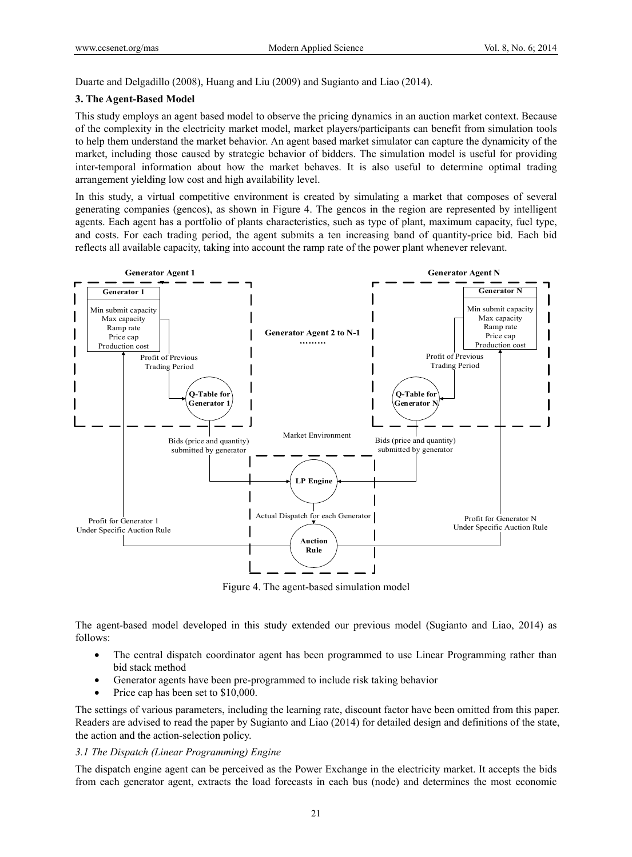Duarte and Delgadillo (2008), Huang and Liu (2009) and Sugianto and Liao (2014).

#### **3. The Agent-Based Model**

This study employs an agent based model to observe the pricing dynamics in an auction market context. Because of the complexity in the electricity market model, market players/participants can benefit from simulation tools to help them understand the market behavior. An agent based market simulator can capture the dynamicity of the market, including those caused by strategic behavior of bidders. The simulation model is useful for providing inter-temporal information about how the market behaves. It is also useful to determine optimal trading arrangement yielding low cost and high availability level.

In this study, a virtual competitive environment is created by simulating a market that composes of several generating companies (gencos), as shown in Figure 4. The gencos in the region are represented by intelligent agents. Each agent has a portfolio of plants characteristics, such as type of plant, maximum capacity, fuel type, and costs. For each trading period, the agent submits a ten increasing band of quantity-price bid. Each bid reflects all available capacity, taking into account the ramp rate of the power plant whenever relevant.



Figure 4. The agent-based simulation model

The agent-based model developed in this study extended our previous model (Sugianto and Liao, 2014) as follows:

- The central dispatch coordinator agent has been programmed to use Linear Programming rather than bid stack method
- Generator agents have been pre-programmed to include risk taking behavior
- Price cap has been set to \$10,000.

The settings of various parameters, including the learning rate, discount factor have been omitted from this paper. Readers are advised to read the paper by Sugianto and Liao (2014) for detailed design and definitions of the state, the action and the action-selection policy.

### *3.1 The Dispatch (Linear Programming) Engine*

The dispatch engine agent can be perceived as the Power Exchange in the electricity market. It accepts the bids from each generator agent, extracts the load forecasts in each bus (node) and determines the most economic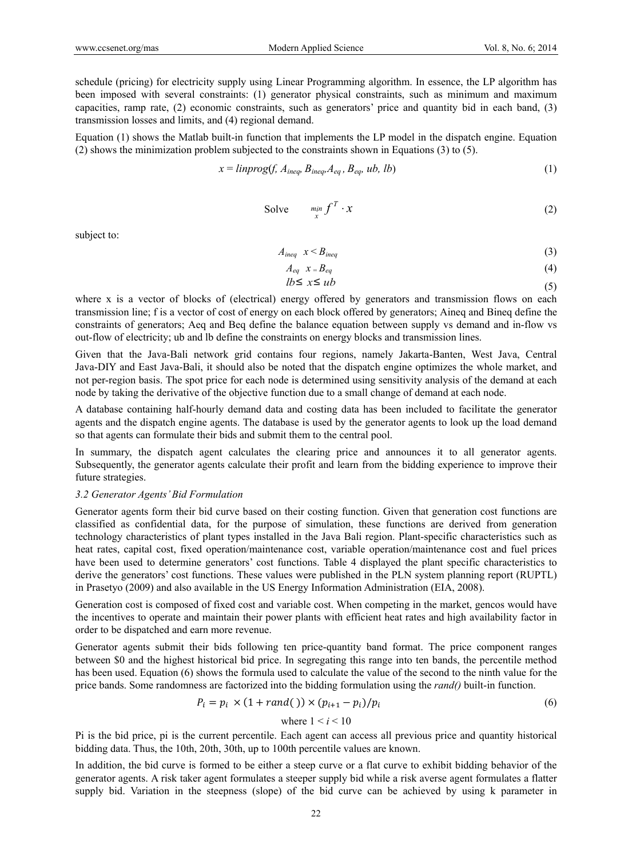schedule (pricing) for electricity supply using Linear Programming algorithm. In essence, the LP algorithm has been imposed with several constraints: (1) generator physical constraints, such as minimum and maximum capacities, ramp rate, (2) economic constraints, such as generators' price and quantity bid in each band, (3) transmission losses and limits, and (4) regional demand.

Equation (1) shows the Matlab built-in function that implements the LP model in the dispatch engine. Equation (2) shows the minimization problem subjected to the constraints shown in Equations (3) to (5).

$$
x = \text{linprog}(f, A_{\text{ineq}}, B_{\text{ineq}}, A_{\text{eq}}, B_{\text{eq}}, ub, lb)
$$
\n
$$
(1)
$$

Solve 
$$
\min_{x} f^{T} \cdot x
$$
 (2)

subject to:

$$
A_{\text{ineq}} \quad x < B_{\text{ineq}} \tag{3}
$$

$$
A_{eq} \quad x = B_{eq} \tag{4}
$$

$$
lb \le x \le ub \tag{5}
$$

where x is a vector of blocks of (electrical) energy offered by generators and transmission flows on each transmission line; f is a vector of cost of energy on each block offered by generators; Aineq and Bineq define the constraints of generators; Aeq and Beq define the balance equation between supply vs demand and in-flow vs out-flow of electricity; ub and lb define the constraints on energy blocks and transmission lines.

Given that the Java-Bali network grid contains four regions, namely Jakarta-Banten, West Java, Central Java-DIY and East Java-Bali, it should also be noted that the dispatch engine optimizes the whole market, and not per-region basis. The spot price for each node is determined using sensitivity analysis of the demand at each node by taking the derivative of the objective function due to a small change of demand at each node.

A database containing half-hourly demand data and costing data has been included to facilitate the generator agents and the dispatch engine agents. The database is used by the generator agents to look up the load demand so that agents can formulate their bids and submit them to the central pool.

In summary, the dispatch agent calculates the clearing price and announces it to all generator agents. Subsequently, the generator agents calculate their profit and learn from the bidding experience to improve their future strategies.

#### *3.2 Generator Agents' Bid Formulation*

Generator agents form their bid curve based on their costing function. Given that generation cost functions are classified as confidential data, for the purpose of simulation, these functions are derived from generation technology characteristics of plant types installed in the Java Bali region. Plant-specific characteristics such as heat rates, capital cost, fixed operation/maintenance cost, variable operation/maintenance cost and fuel prices have been used to determine generators' cost functions. Table 4 displayed the plant specific characteristics to derive the generators' cost functions. These values were published in the PLN system planning report (RUPTL) in Prasetyo (2009) and also available in the US Energy Information Administration (EIA, 2008).

Generation cost is composed of fixed cost and variable cost. When competing in the market, gencos would have the incentives to operate and maintain their power plants with efficient heat rates and high availability factor in order to be dispatched and earn more revenue.

Generator agents submit their bids following ten price-quantity band format. The price component ranges between \$0 and the highest historical bid price. In segregating this range into ten bands, the percentile method has been used. Equation (6) shows the formula used to calculate the value of the second to the ninth value for the price bands. Some randomness are factorized into the bidding formulation using the *rand()* built-in function.

$$
P_i = p_i \times (1 + rand()) \times (p_{i+1} - p_i) / p_i \tag{6}
$$

where  $1 < i < 10$ 

Pi is the bid price, pi is the current percentile. Each agent can access all previous price and quantity historical bidding data. Thus, the 10th, 20th, 30th, up to 100th percentile values are known.

In addition, the bid curve is formed to be either a steep curve or a flat curve to exhibit bidding behavior of the generator agents. A risk taker agent formulates a steeper supply bid while a risk averse agent formulates a flatter supply bid. Variation in the steepness (slope) of the bid curve can be achieved by using k parameter in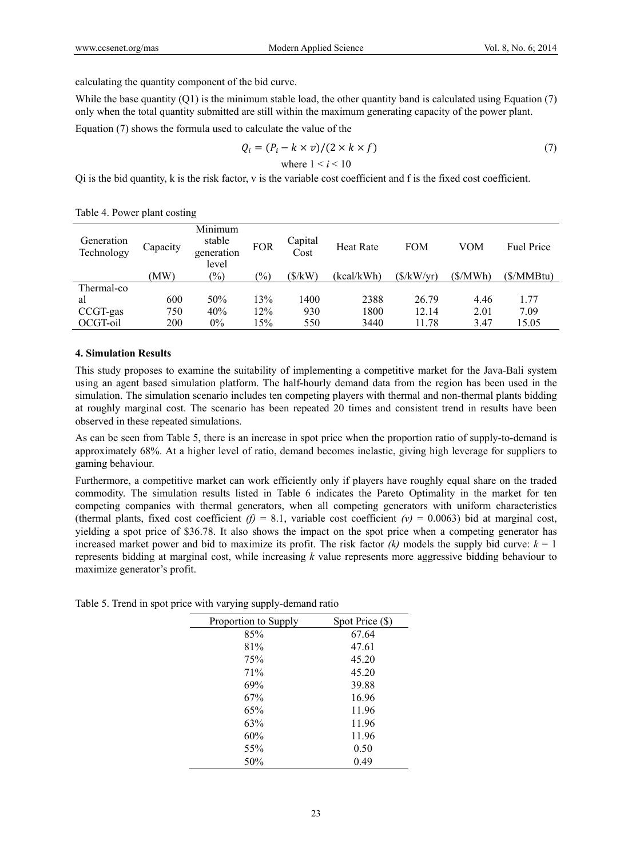calculating the quantity component of the bid curve.

While the base quantity  $(Q1)$  is the minimum stable load, the other quantity band is calculated using Equation  $(7)$ only when the total quantity submitted are still within the maximum generating capacity of the power plant.

Equation (7) shows the formula used to calculate the value of the

$$
Q_i = (P_i - k \times v)/(2 \times k \times f)
$$
  
where  $1 < i < 10$  (7)

Qi is the bid quantity, k is the risk factor, v is the variable cost coefficient and f is the fixed cost coefficient.

| Generation<br>Technology | Capacity | Minimum<br>stable<br>generation | <b>FOR</b>    | Capital<br>Cost | <b>Heat Rate</b> | <b>FOM</b> | VOM      | <b>Fuel Price</b> |
|--------------------------|----------|---------------------------------|---------------|-----------------|------------------|------------|----------|-------------------|
|                          | (MW)     | level<br>$\frac{1}{2}$          | $\frac{1}{2}$ | (\$/kW)         | (kcal/kWh)       | (S/kW/vr)  | (\$/MWh) | (S/MMBtu)         |
| Thermal-co               |          |                                 |               |                 |                  |            |          |                   |
| al                       | 600      | 50%                             | 13%           | 1400            | 2388             | 26.79      | 4.46     | 1.77              |
| CCGT-gas                 | 750      | 40%                             | 12%           | 930             | 1800             | 12.14      | 2.01     | 7.09              |
| OCGT-oil                 | 200      | $0\%$                           | 15%           | 550             | 3440             | 11.78      | 3.47     | 15.05             |

| Table 4. Power plant costing |  |  |  |
|------------------------------|--|--|--|
|------------------------------|--|--|--|

### **4. Simulation Results**

This study proposes to examine the suitability of implementing a competitive market for the Java-Bali system using an agent based simulation platform. The half-hourly demand data from the region has been used in the simulation. The simulation scenario includes ten competing players with thermal and non-thermal plants bidding at roughly marginal cost. The scenario has been repeated 20 times and consistent trend in results have been observed in these repeated simulations.

As can be seen from Table 5, there is an increase in spot price when the proportion ratio of supply-to-demand is approximately 68%. At a higher level of ratio, demand becomes inelastic, giving high leverage for suppliers to gaming behaviour.

Furthermore, a competitive market can work efficiently only if players have roughly equal share on the traded commodity. The simulation results listed in Table 6 indicates the Pareto Optimality in the market for ten competing companies with thermal generators, when all competing generators with uniform characteristics (thermal plants, fixed cost coefficient  $(f) = 8.1$ , variable cost coefficient  $(v) = 0.0063$ ) bid at marginal cost, yielding a spot price of \$36.78. It also shows the impact on the spot price when a competing generator has increased market power and bid to maximize its profit. The risk factor  $(k)$  models the supply bid curve:  $k = 1$ represents bidding at marginal cost, while increasing *k* value represents more aggressive bidding behaviour to maximize generator's profit.

| Proportion to Supply | Spot Price (\$) |
|----------------------|-----------------|
| 85%                  | 67.64           |
| 81%                  | 47.61           |
| 75%                  | 45.20           |
| 71%                  | 45.20           |
| 69%                  | 39.88           |
| 67%                  | 16.96           |
| 65%                  | 11.96           |
| 63%                  | 11.96           |
| 60%                  | 11.96           |
| 55%                  | 0.50            |
| 50%                  | 0.49            |

Table 5. Trend in spot price with varying supply-demand ratio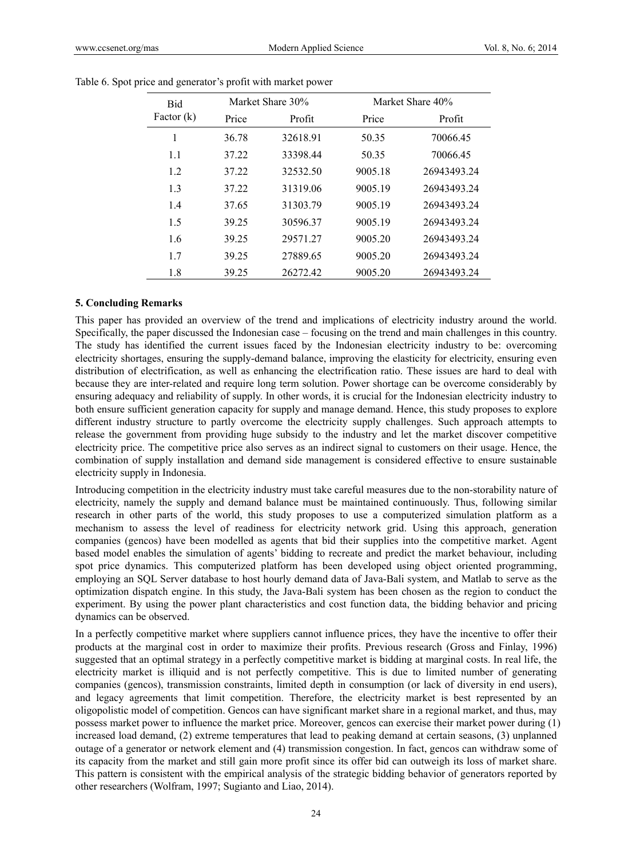| <b>Bid</b>   |       | Market Share 30% |         | Market Share 40% |
|--------------|-------|------------------|---------|------------------|
| Factor $(k)$ | Price | Profit           | Price   | Profit           |
| 1            | 36.78 | 32618.91         | 50.35   | 70066.45         |
| 1.1          | 37.22 | 33398.44         | 50.35   | 70066.45         |
| 1.2          | 37.22 | 32532.50         | 9005.18 | 26943493.24      |
| 1.3          | 37.22 | 31319.06         | 9005.19 | 26943493.24      |
| 14           | 37.65 | 31303.79         | 9005.19 | 26943493.24      |
| 1.5          | 39.25 | 30596.37         | 9005.19 | 26943493 24      |
| 1.6          | 39.25 | 29571.27         | 9005.20 | 26943493.24      |
| 1.7          | 39.25 | 27889.65         | 9005.20 | 26943493.24      |
| 1.8          | 39.25 | 26272.42         | 9005.20 | 26943493.24      |

|  |  | Table 6. Spot price and generator's profit with market power |
|--|--|--------------------------------------------------------------|
|  |  |                                                              |

#### **5. Concluding Remarks**

This paper has provided an overview of the trend and implications of electricity industry around the world. Specifically, the paper discussed the Indonesian case – focusing on the trend and main challenges in this country. The study has identified the current issues faced by the Indonesian electricity industry to be: overcoming electricity shortages, ensuring the supply-demand balance, improving the elasticity for electricity, ensuring even distribution of electrification, as well as enhancing the electrification ratio. These issues are hard to deal with because they are inter-related and require long term solution. Power shortage can be overcome considerably by ensuring adequacy and reliability of supply. In other words, it is crucial for the Indonesian electricity industry to both ensure sufficient generation capacity for supply and manage demand. Hence, this study proposes to explore different industry structure to partly overcome the electricity supply challenges. Such approach attempts to release the government from providing huge subsidy to the industry and let the market discover competitive electricity price. The competitive price also serves as an indirect signal to customers on their usage. Hence, the combination of supply installation and demand side management is considered effective to ensure sustainable electricity supply in Indonesia.

Introducing competition in the electricity industry must take careful measures due to the non-storability nature of electricity, namely the supply and demand balance must be maintained continuously. Thus, following similar research in other parts of the world, this study proposes to use a computerized simulation platform as a mechanism to assess the level of readiness for electricity network grid. Using this approach, generation companies (gencos) have been modelled as agents that bid their supplies into the competitive market. Agent based model enables the simulation of agents' bidding to recreate and predict the market behaviour, including spot price dynamics. This computerized platform has been developed using object oriented programming, employing an SQL Server database to host hourly demand data of Java-Bali system, and Matlab to serve as the optimization dispatch engine. In this study, the Java-Bali system has been chosen as the region to conduct the experiment. By using the power plant characteristics and cost function data, the bidding behavior and pricing dynamics can be observed.

In a perfectly competitive market where suppliers cannot influence prices, they have the incentive to offer their products at the marginal cost in order to maximize their profits. Previous research (Gross and Finlay, 1996) suggested that an optimal strategy in a perfectly competitive market is bidding at marginal costs. In real life, the electricity market is illiquid and is not perfectly competitive. This is due to limited number of generating companies (gencos), transmission constraints, limited depth in consumption (or lack of diversity in end users), and legacy agreements that limit competition. Therefore, the electricity market is best represented by an oligopolistic model of competition. Gencos can have significant market share in a regional market, and thus, may possess market power to influence the market price. Moreover, gencos can exercise their market power during (1) increased load demand, (2) extreme temperatures that lead to peaking demand at certain seasons, (3) unplanned outage of a generator or network element and (4) transmission congestion. In fact, gencos can withdraw some of its capacity from the market and still gain more profit since its offer bid can outweigh its loss of market share. This pattern is consistent with the empirical analysis of the strategic bidding behavior of generators reported by other researchers (Wolfram, 1997; Sugianto and Liao, 2014).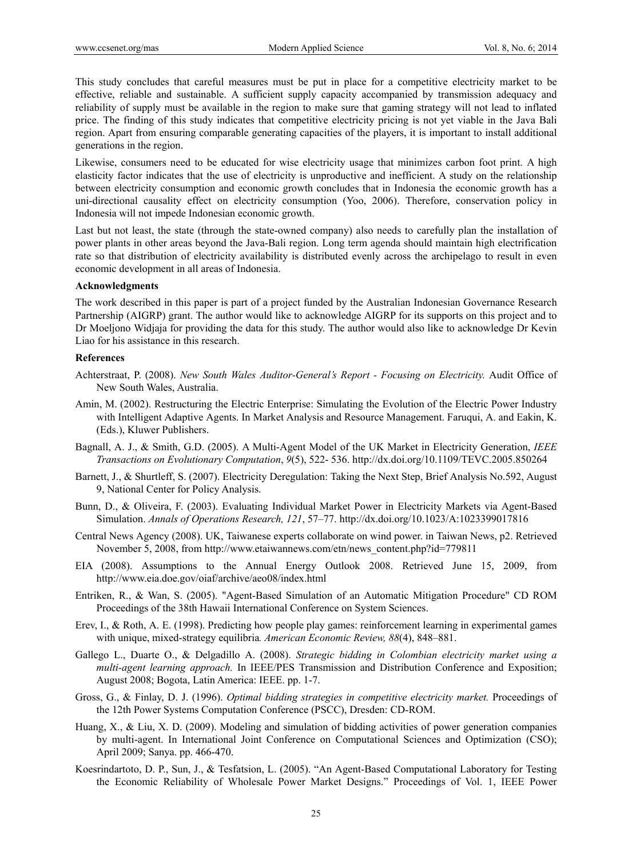This study concludes that careful measures must be put in place for a competitive electricity market to be effective, reliable and sustainable. A sufficient supply capacity accompanied by transmission adequacy and reliability of supply must be available in the region to make sure that gaming strategy will not lead to inflated price. The finding of this study indicates that competitive electricity pricing is not yet viable in the Java Bali region. Apart from ensuring comparable generating capacities of the players, it is important to install additional generations in the region.

Likewise, consumers need to be educated for wise electricity usage that minimizes carbon foot print. A high elasticity factor indicates that the use of electricity is unproductive and inefficient. A study on the relationship between electricity consumption and economic growth concludes that in Indonesia the economic growth has a uni-directional causality effect on electricity consumption (Yoo, 2006). Therefore, conservation policy in Indonesia will not impede Indonesian economic growth.

Last but not least, the state (through the state-owned company) also needs to carefully plan the installation of power plants in other areas beyond the Java-Bali region. Long term agenda should maintain high electrification rate so that distribution of electricity availability is distributed evenly across the archipelago to result in even economic development in all areas of Indonesia.

# **Acknowledgments**

The work described in this paper is part of a project funded by the Australian Indonesian Governance Research Partnership (AIGRP) grant. The author would like to acknowledge AIGRP for its supports on this project and to Dr Moeljono Widjaja for providing the data for this study. The author would also like to acknowledge Dr Kevin Liao for his assistance in this research.

### **References**

- Achterstraat, P. (2008). *New South Wales Auditor-General's Report Focusing on Electricity.* Audit Office of New South Wales, Australia.
- Amin, M. (2002). Restructuring the Electric Enterprise: Simulating the Evolution of the Electric Power Industry with Intelligent Adaptive Agents. In Market Analysis and Resource Management. Faruqui, A. and Eakin, K. (Eds.), Kluwer Publishers.
- Bagnall, A. J., & Smith, G.D. (2005). A Multi-Agent Model of the UK Market in Electricity Generation, *IEEE Transactions on Evolutionary Computation*, *9*(5), 522- 536. http://dx.doi.org/10.1109/TEVC.2005.850264
- Barnett, J., & Shurtleff, S. (2007). Electricity Deregulation: Taking the Next Step, Brief Analysis No.592, August 9, National Center for Policy Analysis.
- Bunn, D., & Oliveira, F. (2003). Evaluating Individual Market Power in Electricity Markets via Agent-Based Simulation. *Annals of Operations Research, 121*, 57–77. http://dx.doi.org/10.1023/A:1023399017816
- Central News Agency (2008). UK, Taiwanese experts collaborate on wind power. in Taiwan News, p2. Retrieved November 5, 2008, from http://www.etaiwannews.com/etn/news\_content.php?id=779811
- EIA (2008). Assumptions to the Annual Energy Outlook 2008. Retrieved June 15, 2009, from http://www.eia.doe.gov/oiaf/archive/aeo08/index.html
- Entriken, R., & Wan, S. (2005). "Agent-Based Simulation of an Automatic Mitigation Procedure" CD ROM Proceedings of the 38th Hawaii International Conference on System Sciences.
- Erev, I., & Roth, A. E. (1998). Predicting how people play games: reinforcement learning in experimental games with unique, mixed-strategy equilibria*. American Economic Review, 88*(4), 848–881.
- Gallego L., Duarte O., & Delgadillo A. (2008). *Strategic bidding in Colombian electricity market using a multi-agent learning approach.* In IEEE/PES Transmission and Distribution Conference and Exposition; August 2008; Bogota, Latin America: IEEE. pp. 1-7.
- Gross, G., & Finlay, D. J. (1996). *Optimal bidding strategies in competitive electricity market.* Proceedings of the 12th Power Systems Computation Conference (PSCC), Dresden: CD-ROM.
- Huang, X., & Liu, X. D. (2009). Modeling and simulation of bidding activities of power generation companies by multi-agent. In International Joint Conference on Computational Sciences and Optimization (CSO); April 2009; Sanya. pp. 466-470.
- Koesrindartoto, D. P., Sun, J., & Tesfatsion, L. (2005). "An Agent-Based Computational Laboratory for Testing the Economic Reliability of Wholesale Power Market Designs." Proceedings of Vol. 1, IEEE Power